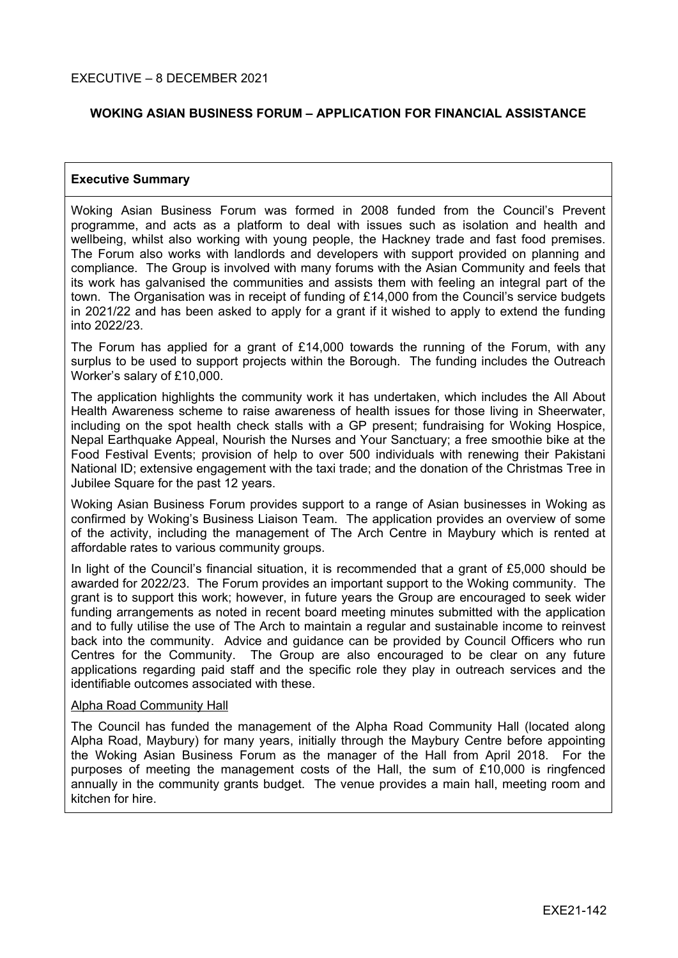#### **WOKING ASIAN BUSINESS FORUM – APPLICATION FOR FINANCIAL ASSISTANCE**

#### **Executive Summary**

Woking Asian Business Forum was formed in 2008 funded from the Council's Prevent programme, and acts as a platform to deal with issues such as isolation and health and wellbeing, whilst also working with young people, the Hackney trade and fast food premises. The Forum also works with landlords and developers with support provided on planning and compliance. The Group is involved with many forums with the Asian Community and feels that its work has galvanised the communities and assists them with feeling an integral part of the town. The Organisation was in receipt of funding of £14,000 from the Council's service budgets in 2021/22 and has been asked to apply for a grant if it wished to apply to extend the funding into 2022/23.

The Forum has applied for a grant of £14,000 towards the running of the Forum, with any surplus to be used to support projects within the Borough. The funding includes the Outreach Worker's salary of £10,000.

The application highlights the community work it has undertaken, which includes the All About Health Awareness scheme to raise awareness of health issues for those living in Sheerwater, including on the spot health check stalls with a GP present; fundraising for Woking Hospice, Nepal Earthquake Appeal, Nourish the Nurses and Your Sanctuary; a free smoothie bike at the Food Festival Events; provision of help to over 500 individuals with renewing their Pakistani National ID; extensive engagement with the taxi trade; and the donation of the Christmas Tree in Jubilee Square for the past 12 years.

Woking Asian Business Forum provides support to a range of Asian businesses in Woking as confirmed by Woking's Business Liaison Team. The application provides an overview of some of the activity, including the management of The Arch Centre in Maybury which is rented at affordable rates to various community groups.

In light of the Council's financial situation, it is recommended that a grant of £5,000 should be awarded for 2022/23. The Forum provides an important support to the Woking community. The grant is to support this work; however, in future years the Group are encouraged to seek wider funding arrangements as noted in recent board meeting minutes submitted with the application and to fully utilise the use of The Arch to maintain a regular and sustainable income to reinvest back into the community. Advice and guidance can be provided by Council Officers who run Centres for the Community. The Group are also encouraged to be clear on any future applications regarding paid staff and the specific role they play in outreach services and the identifiable outcomes associated with these.

#### Alpha Road Community Hall

The Council has funded the management of the Alpha Road Community Hall (located along Alpha Road, Maybury) for many years, initially through the Maybury Centre before appointing the Woking Asian Business Forum as the manager of the Hall from April 2018. For the purposes of meeting the management costs of the Hall, the sum of £10,000 is ringfenced annually in the community grants budget. The venue provides a main hall, meeting room and kitchen for hire.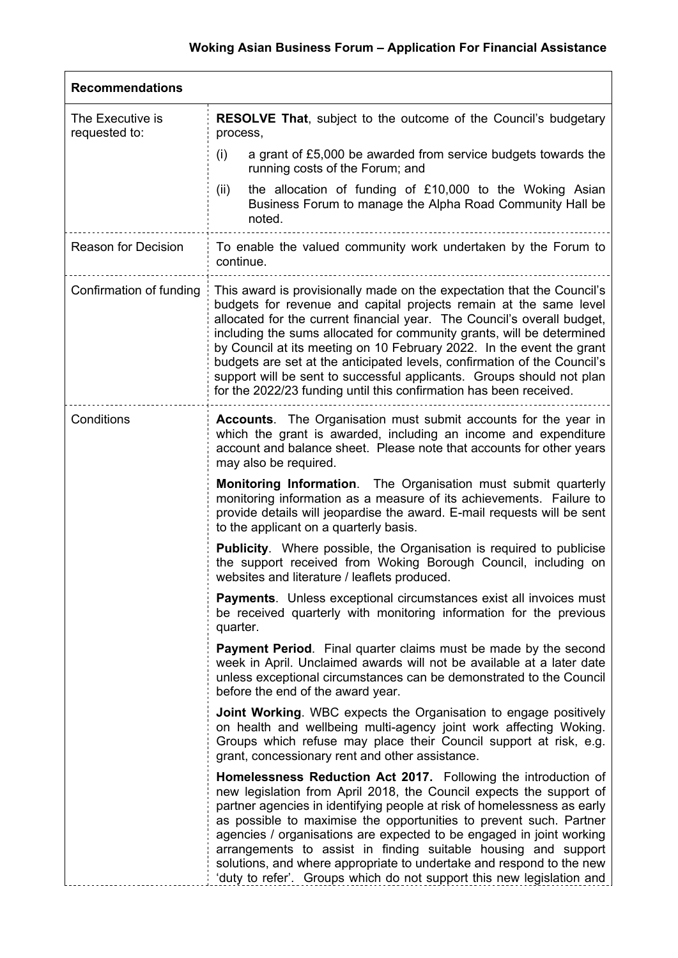| <b>Recommendations</b>            |                                                                                                                                                                                                                                                                                                                                                                                                                                                                                                                                                                                                     |  |
|-----------------------------------|-----------------------------------------------------------------------------------------------------------------------------------------------------------------------------------------------------------------------------------------------------------------------------------------------------------------------------------------------------------------------------------------------------------------------------------------------------------------------------------------------------------------------------------------------------------------------------------------------------|--|
| The Executive is<br>requested to: | <b>RESOLVE That, subject to the outcome of the Council's budgetary</b><br>process,                                                                                                                                                                                                                                                                                                                                                                                                                                                                                                                  |  |
|                                   | a grant of £5,000 be awarded from service budgets towards the<br>(i)<br>running costs of the Forum; and                                                                                                                                                                                                                                                                                                                                                                                                                                                                                             |  |
|                                   | the allocation of funding of £10,000 to the Woking Asian<br>(ii)<br>Business Forum to manage the Alpha Road Community Hall be<br>noted.                                                                                                                                                                                                                                                                                                                                                                                                                                                             |  |
| <b>Reason for Decision</b>        | To enable the valued community work undertaken by the Forum to<br>continue.                                                                                                                                                                                                                                                                                                                                                                                                                                                                                                                         |  |
| Confirmation of funding           | This award is provisionally made on the expectation that the Council's<br>budgets for revenue and capital projects remain at the same level<br>allocated for the current financial year. The Council's overall budget,<br>including the sums allocated for community grants, will be determined<br>by Council at its meeting on 10 February 2022. In the event the grant<br>budgets are set at the anticipated levels, confirmation of the Council's<br>support will be sent to successful applicants. Groups should not plan<br>for the 2022/23 funding until this confirmation has been received. |  |
| Conditions                        | <b>Accounts.</b> The Organisation must submit accounts for the year in<br>which the grant is awarded, including an income and expenditure<br>account and balance sheet. Please note that accounts for other years<br>may also be required.                                                                                                                                                                                                                                                                                                                                                          |  |
|                                   | <b>Monitoring Information.</b> The Organisation must submit quarterly<br>monitoring information as a measure of its achievements. Failure to<br>provide details will jeopardise the award. E-mail requests will be sent<br>to the applicant on a quarterly basis.                                                                                                                                                                                                                                                                                                                                   |  |
|                                   | <b>Publicity.</b> Where possible, the Organisation is required to publicise<br>the support received from Woking Borough Council, including on<br>websites and literature / leaflets produced.                                                                                                                                                                                                                                                                                                                                                                                                       |  |
|                                   | <b>Payments.</b> Unless exceptional circumstances exist all invoices must<br>be received quarterly with monitoring information for the previous<br>quarter.                                                                                                                                                                                                                                                                                                                                                                                                                                         |  |
|                                   | <b>Payment Period.</b> Final quarter claims must be made by the second<br>week in April. Unclaimed awards will not be available at a later date<br>unless exceptional circumstances can be demonstrated to the Council<br>before the end of the award year.                                                                                                                                                                                                                                                                                                                                         |  |
|                                   | <b>Joint Working.</b> WBC expects the Organisation to engage positively<br>on health and wellbeing multi-agency joint work affecting Woking.<br>Groups which refuse may place their Council support at risk, e.g.<br>grant, concessionary rent and other assistance.                                                                                                                                                                                                                                                                                                                                |  |
|                                   | Homelessness Reduction Act 2017. Following the introduction of<br>new legislation from April 2018, the Council expects the support of<br>partner agencies in identifying people at risk of homelessness as early<br>as possible to maximise the opportunities to prevent such. Partner<br>agencies / organisations are expected to be engaged in joint working<br>arrangements to assist in finding suitable housing and support<br>solutions, and where appropriate to undertake and respond to the new<br>'duty to refer'. Groups which do not support this new legislation and                   |  |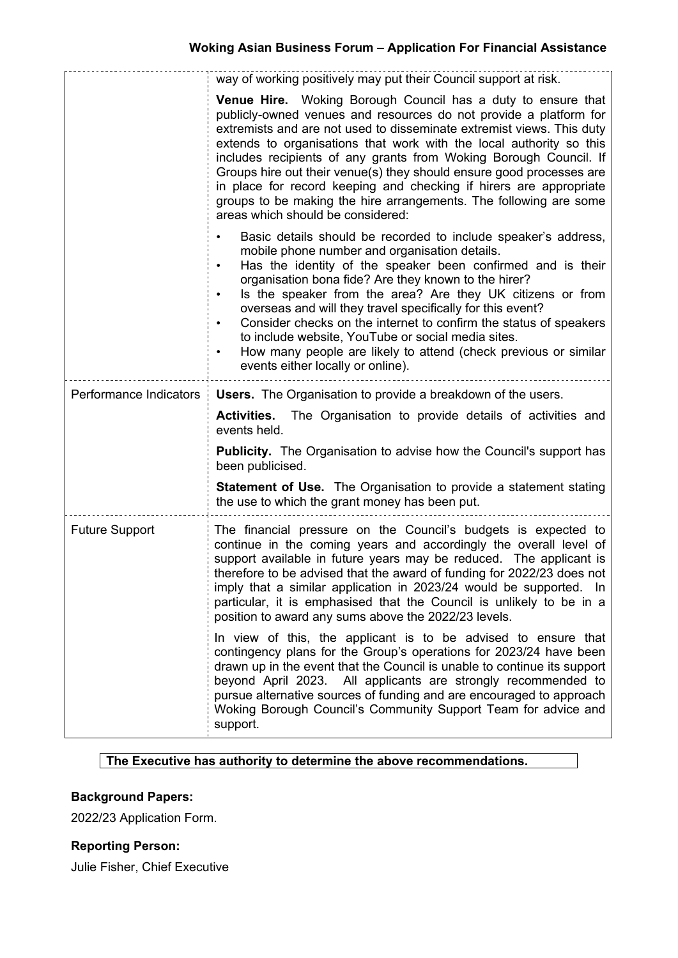|                        | way of working positively may put their Council support at risk.                                                                                                                                                                                                                                                                                                                                                                                                                                                                                                                                                                     |
|------------------------|--------------------------------------------------------------------------------------------------------------------------------------------------------------------------------------------------------------------------------------------------------------------------------------------------------------------------------------------------------------------------------------------------------------------------------------------------------------------------------------------------------------------------------------------------------------------------------------------------------------------------------------|
|                        | Venue Hire. Woking Borough Council has a duty to ensure that<br>publicly-owned venues and resources do not provide a platform for<br>extremists and are not used to disseminate extremist views. This duty<br>extends to organisations that work with the local authority so this<br>includes recipients of any grants from Woking Borough Council. If<br>Groups hire out their venue(s) they should ensure good processes are<br>in place for record keeping and checking if hirers are appropriate<br>groups to be making the hire arrangements. The following are some<br>areas which should be considered:                       |
|                        | Basic details should be recorded to include speaker's address,<br>mobile phone number and organisation details.<br>Has the identity of the speaker been confirmed and is their<br>$\bullet$<br>organisation bona fide? Are they known to the hirer?<br>Is the speaker from the area? Are they UK citizens or from<br>$\bullet$<br>overseas and will they travel specifically for this event?<br>Consider checks on the internet to confirm the status of speakers<br>to include website, YouTube or social media sites.<br>How many people are likely to attend (check previous or similar<br>٠<br>events either locally or online). |
| Performance Indicators | <b>Users.</b> The Organisation to provide a breakdown of the users.                                                                                                                                                                                                                                                                                                                                                                                                                                                                                                                                                                  |
|                        | <b>Activities.</b> The Organisation to provide details of activities and<br>events held.                                                                                                                                                                                                                                                                                                                                                                                                                                                                                                                                             |
|                        | <b>Publicity.</b> The Organisation to advise how the Council's support has<br>been publicised.                                                                                                                                                                                                                                                                                                                                                                                                                                                                                                                                       |
|                        | <b>Statement of Use.</b> The Organisation to provide a statement stating<br>the use to which the grant money has been put.                                                                                                                                                                                                                                                                                                                                                                                                                                                                                                           |
| <b>Future Support</b>  | The financial pressure on the Council's budgets is expected to<br>continue in the coming years and accordingly the overall level of<br>support available in future years may be reduced. The applicant is<br>therefore to be advised that the award of funding for 2022/23 does not<br>imply that a similar application in 2023/24 would be supported. In<br>particular, it is emphasised that the Council is unlikely to be in a<br>position to award any sums above the 2022/23 levels.                                                                                                                                            |
|                        | In view of this, the applicant is to be advised to ensure that<br>contingency plans for the Group's operations for 2023/24 have been<br>drawn up in the event that the Council is unable to continue its support<br>beyond April 2023. All applicants are strongly recommended to<br>pursue alternative sources of funding and are encouraged to approach<br>Woking Borough Council's Community Support Team for advice and<br>support.                                                                                                                                                                                              |

#### **The Executive has authority to determine the above recommendations.**

## **Background Papers:**

2022/23 Application Form.

# **Reporting Person:**

Julie Fisher, Chief Executive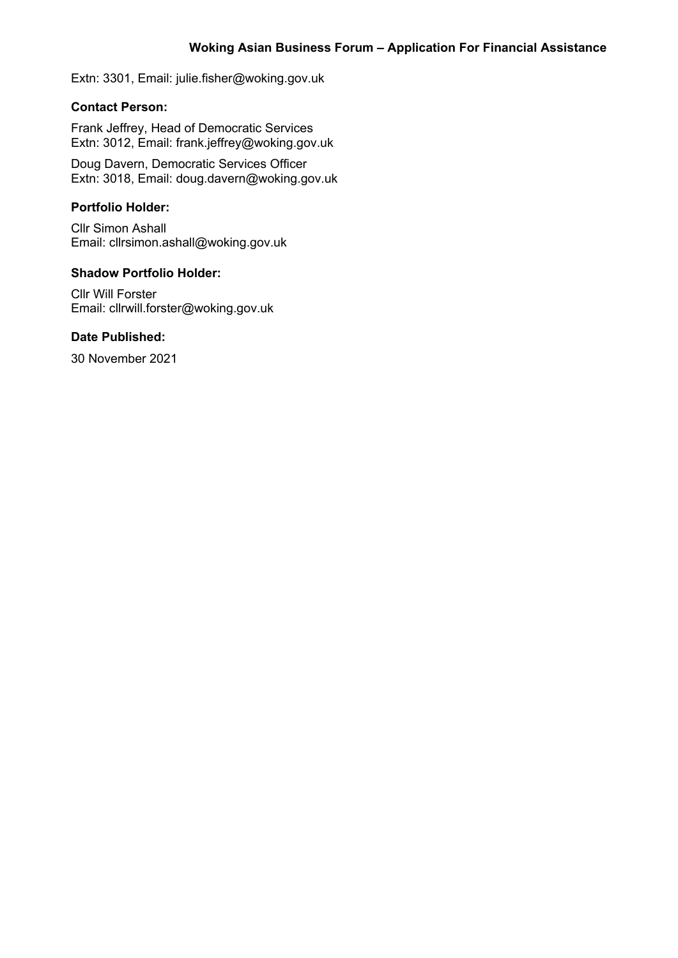Extn: 3301, Email: julie.fisher@woking.gov.uk

#### **Contact Person:**

Frank Jeffrey, Head of Democratic Services Extn: 3012, Email: frank.jeffrey@woking.gov.uk

Doug Davern, Democratic Services Officer Extn: 3018, Email: doug.davern@woking.gov.uk

## **Portfolio Holder:**

Cllr Simon Ashall Email: cllrsimon.ashall@woking.gov.uk

### **Shadow Portfolio Holder:**

Cllr Will Forster Email: cllrwill.forster@woking.gov.uk

#### **Date Published:**

30 November 2021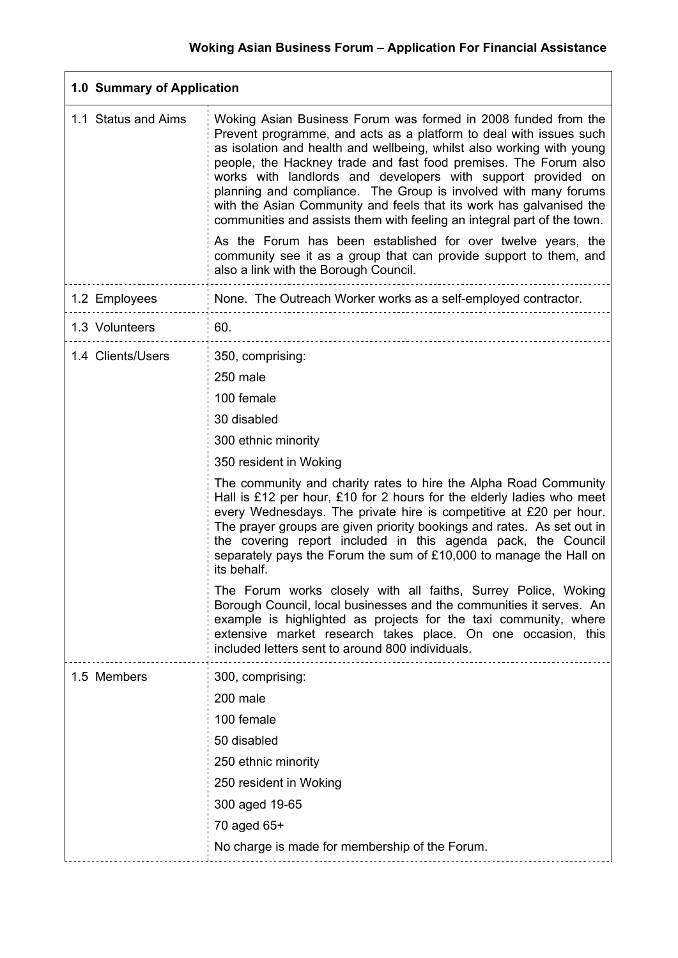٦

| 1.0 Summary of Application |                                                                                                                                                                                                                                                                                                                                                                                                                                                                                                                                                                                                                                                                                                                                                      |  |
|----------------------------|------------------------------------------------------------------------------------------------------------------------------------------------------------------------------------------------------------------------------------------------------------------------------------------------------------------------------------------------------------------------------------------------------------------------------------------------------------------------------------------------------------------------------------------------------------------------------------------------------------------------------------------------------------------------------------------------------------------------------------------------------|--|
| 1.1 Status and Aims        | Woking Asian Business Forum was formed in 2008 funded from the<br>Prevent programme, and acts as a platform to deal with issues such<br>as isolation and health and wellbeing, whilst also working with young<br>people, the Hackney trade and fast food premises. The Forum also<br>works with landlords and developers with support provided on<br>planning and compliance. The Group is involved with many forums<br>with the Asian Community and feels that its work has galvanised the<br>communities and assists them with feeling an integral part of the town.<br>As the Forum has been established for over twelve years, the<br>community see it as a group that can provide support to them, and<br>also a link with the Borough Council. |  |
| 1.2 Employees              | None. The Outreach Worker works as a self-employed contractor.                                                                                                                                                                                                                                                                                                                                                                                                                                                                                                                                                                                                                                                                                       |  |
|                            |                                                                                                                                                                                                                                                                                                                                                                                                                                                                                                                                                                                                                                                                                                                                                      |  |
| 1.3 Volunteers             | 60.                                                                                                                                                                                                                                                                                                                                                                                                                                                                                                                                                                                                                                                                                                                                                  |  |
| 1.4 Clients/Users          | 350, comprising:                                                                                                                                                                                                                                                                                                                                                                                                                                                                                                                                                                                                                                                                                                                                     |  |
|                            | 250 male                                                                                                                                                                                                                                                                                                                                                                                                                                                                                                                                                                                                                                                                                                                                             |  |
|                            | 100 female                                                                                                                                                                                                                                                                                                                                                                                                                                                                                                                                                                                                                                                                                                                                           |  |
|                            | 30 disabled                                                                                                                                                                                                                                                                                                                                                                                                                                                                                                                                                                                                                                                                                                                                          |  |
|                            | 300 ethnic minority                                                                                                                                                                                                                                                                                                                                                                                                                                                                                                                                                                                                                                                                                                                                  |  |
|                            | 350 resident in Woking                                                                                                                                                                                                                                                                                                                                                                                                                                                                                                                                                                                                                                                                                                                               |  |
|                            | The community and charity rates to hire the Alpha Road Community<br>Hall is £12 per hour, £10 for 2 hours for the elderly ladies who meet<br>every Wednesdays. The private hire is competitive at £20 per hour.<br>The prayer groups are given priority bookings and rates. As set out in<br>the covering report included in this agenda pack, the Council<br>separately pays the Forum the sum of £10,000 to manage the Hall on<br>its behalf.                                                                                                                                                                                                                                                                                                      |  |
|                            | The Forum works closely with all faiths, Surrey Police, Woking<br>Borough Council, local businesses and the communities it serves. An<br>example is highlighted as projects for the taxi community, where<br>extensive market research takes place. On one occasion, this<br>included letters sent to around 800 individuals.                                                                                                                                                                                                                                                                                                                                                                                                                        |  |
| 1.5 Members                | 300, comprising:                                                                                                                                                                                                                                                                                                                                                                                                                                                                                                                                                                                                                                                                                                                                     |  |
|                            | 200 male                                                                                                                                                                                                                                                                                                                                                                                                                                                                                                                                                                                                                                                                                                                                             |  |
|                            | 100 female                                                                                                                                                                                                                                                                                                                                                                                                                                                                                                                                                                                                                                                                                                                                           |  |
|                            | 50 disabled                                                                                                                                                                                                                                                                                                                                                                                                                                                                                                                                                                                                                                                                                                                                          |  |
|                            | 250 ethnic minority                                                                                                                                                                                                                                                                                                                                                                                                                                                                                                                                                                                                                                                                                                                                  |  |
|                            | 250 resident in Woking                                                                                                                                                                                                                                                                                                                                                                                                                                                                                                                                                                                                                                                                                                                               |  |
|                            | 300 aged 19-65                                                                                                                                                                                                                                                                                                                                                                                                                                                                                                                                                                                                                                                                                                                                       |  |
|                            | 70 aged 65+                                                                                                                                                                                                                                                                                                                                                                                                                                                                                                                                                                                                                                                                                                                                          |  |
|                            | No charge is made for membership of the Forum.                                                                                                                                                                                                                                                                                                                                                                                                                                                                                                                                                                                                                                                                                                       |  |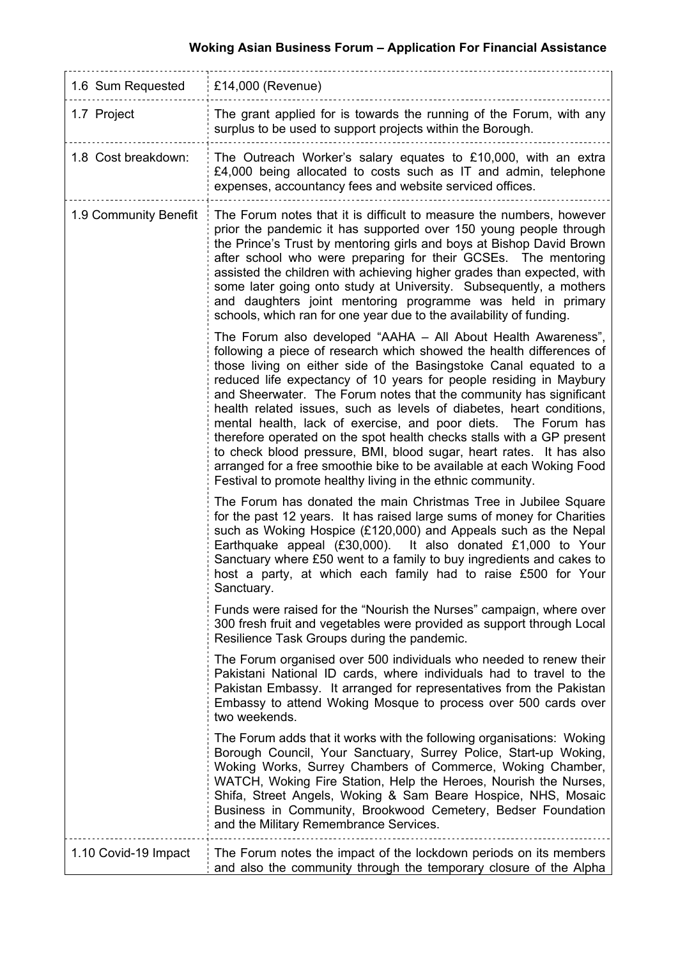# **Woking Asian Business Forum – Application For Financial Assistance**

| 1.6 Sum Requested     | £14,000 (Revenue)                                                                                                                                                                                                                                                                                                                                                                                                                                                                                                                                                                                                                                                                                                                                                                        |  |
|-----------------------|------------------------------------------------------------------------------------------------------------------------------------------------------------------------------------------------------------------------------------------------------------------------------------------------------------------------------------------------------------------------------------------------------------------------------------------------------------------------------------------------------------------------------------------------------------------------------------------------------------------------------------------------------------------------------------------------------------------------------------------------------------------------------------------|--|
| 1.7 Project           | The grant applied for is towards the running of the Forum, with any<br>surplus to be used to support projects within the Borough.                                                                                                                                                                                                                                                                                                                                                                                                                                                                                                                                                                                                                                                        |  |
| 1.8 Cost breakdown:   | The Outreach Worker's salary equates to £10,000, with an extra<br>£4,000 being allocated to costs such as IT and admin, telephone<br>expenses, accountancy fees and website serviced offices.                                                                                                                                                                                                                                                                                                                                                                                                                                                                                                                                                                                            |  |
| 1.9 Community Benefit | The Forum notes that it is difficult to measure the numbers, however<br>prior the pandemic it has supported over 150 young people through<br>the Prince's Trust by mentoring girls and boys at Bishop David Brown<br>after school who were preparing for their GCSEs. The mentoring<br>assisted the children with achieving higher grades than expected, with<br>some later going onto study at University. Subsequently, a mothers<br>and daughters joint mentoring programme was held in primary<br>schools, which ran for one year due to the availability of funding.                                                                                                                                                                                                                |  |
|                       | The Forum also developed "AAHA - All About Health Awareness",<br>following a piece of research which showed the health differences of<br>those living on either side of the Basingstoke Canal equated to a<br>reduced life expectancy of 10 years for people residing in Maybury<br>and Sheerwater. The Forum notes that the community has significant<br>health related issues, such as levels of diabetes, heart conditions,<br>mental health, lack of exercise, and poor diets. The Forum has<br>therefore operated on the spot health checks stalls with a GP present<br>to check blood pressure, BMI, blood sugar, heart rates. It has also<br>arranged for a free smoothie bike to be available at each Woking Food<br>Festival to promote healthy living in the ethnic community. |  |
|                       | The Forum has donated the main Christmas Tree in Jubilee Square<br>for the past 12 years. It has raised large sums of money for Charities<br>such as Woking Hospice (£120,000) and Appeals such as the Nepal<br>Earthquake appeal (£30,000). It also donated £1,000 to Your<br>Sanctuary where £50 went to a family to buy ingredients and cakes to<br>host a party, at which each family had to raise £500 for Your<br>Sanctuary.                                                                                                                                                                                                                                                                                                                                                       |  |
|                       | Funds were raised for the "Nourish the Nurses" campaign, where over<br>300 fresh fruit and vegetables were provided as support through Local<br>Resilience Task Groups during the pandemic.                                                                                                                                                                                                                                                                                                                                                                                                                                                                                                                                                                                              |  |
|                       | The Forum organised over 500 individuals who needed to renew their<br>Pakistani National ID cards, where individuals had to travel to the<br>Pakistan Embassy. It arranged for representatives from the Pakistan<br>Embassy to attend Woking Mosque to process over 500 cards over<br>two weekends.                                                                                                                                                                                                                                                                                                                                                                                                                                                                                      |  |
|                       | The Forum adds that it works with the following organisations: Woking<br>Borough Council, Your Sanctuary, Surrey Police, Start-up Woking,<br>Woking Works, Surrey Chambers of Commerce, Woking Chamber,<br>WATCH, Woking Fire Station, Help the Heroes, Nourish the Nurses,<br>Shifa, Street Angels, Woking & Sam Beare Hospice, NHS, Mosaic<br>Business in Community, Brookwood Cemetery, Bedser Foundation<br>and the Military Remembrance Services.                                                                                                                                                                                                                                                                                                                                   |  |
| 1.10 Covid-19 Impact  | The Forum notes the impact of the lockdown periods on its members<br>and also the community through the temporary closure of the Alpha                                                                                                                                                                                                                                                                                                                                                                                                                                                                                                                                                                                                                                                   |  |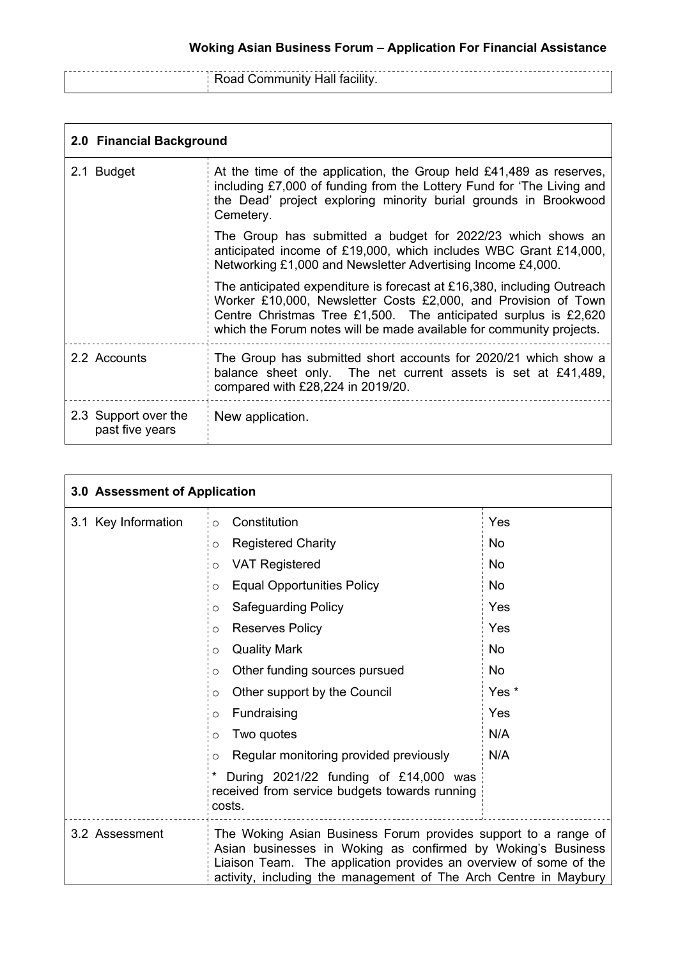**Road Community Hall facility.** 

| 2.0 Financial Background                |                                                                                                                                                                                                                                                                                     |  |
|-----------------------------------------|-------------------------------------------------------------------------------------------------------------------------------------------------------------------------------------------------------------------------------------------------------------------------------------|--|
| 2.1 Budget                              | At the time of the application, the Group held $£41,489$ as reserves,<br>including £7,000 of funding from the Lottery Fund for 'The Living and<br>the Dead' project exploring minority burial grounds in Brookwood<br>Cemetery.                                                     |  |
|                                         | The Group has submitted a budget for 2022/23 which shows an<br>anticipated income of £19,000, which includes WBC Grant £14,000,<br>Networking £1,000 and Newsletter Advertising Income £4,000.                                                                                      |  |
|                                         | The anticipated expenditure is forecast at £16,380, including Outreach<br>Worker £10,000, Newsletter Costs £2,000, and Provision of Town<br>Centre Christmas Tree £1,500. The anticipated surplus is £2,620<br>which the Forum notes will be made available for community projects. |  |
| 2.2 Accounts                            | The Group has submitted short accounts for 2020/21 which show a<br>balance sheet only. The net current assets is set at £41,489,<br>compared with £28,224 in 2019/20.                                                                                                               |  |
| 2.3 Support over the<br>past five years | New application.                                                                                                                                                                                                                                                                    |  |

| 3.0 Assessment of Application |                                                                                                                                                                                                                                                                         |                  |
|-------------------------------|-------------------------------------------------------------------------------------------------------------------------------------------------------------------------------------------------------------------------------------------------------------------------|------------------|
| 3.1 Key Information           | Constitution<br>$\circ$                                                                                                                                                                                                                                                 | Yes              |
|                               | <b>Registered Charity</b><br>O                                                                                                                                                                                                                                          | <b>No</b>        |
|                               | <b>VAT Registered</b><br>O                                                                                                                                                                                                                                              | <b>No</b>        |
|                               | <b>Equal Opportunities Policy</b><br>O                                                                                                                                                                                                                                  | No               |
|                               | Safeguarding Policy<br>O                                                                                                                                                                                                                                                | Yes              |
|                               | <b>Reserves Policy</b><br>O                                                                                                                                                                                                                                             | Yes              |
|                               | <b>Quality Mark</b><br>$\circ$                                                                                                                                                                                                                                          | <b>No</b>        |
|                               | Other funding sources pursued<br>O                                                                                                                                                                                                                                      | <b>No</b>        |
|                               | Other support by the Council<br>O                                                                                                                                                                                                                                       | Yes <sup>*</sup> |
|                               | Fundraising<br>O                                                                                                                                                                                                                                                        | Yes              |
|                               | Two quotes<br>O                                                                                                                                                                                                                                                         | N/A              |
|                               | Regular monitoring provided previously<br>O                                                                                                                                                                                                                             | N/A              |
|                               | During 2021/22 funding of £14,000 was<br>received from service budgets towards running<br>costs.                                                                                                                                                                        |                  |
| 3.2 Assessment                | The Woking Asian Business Forum provides support to a range of<br>Asian businesses in Woking as confirmed by Woking's Business<br>Liaison Team. The application provides an overview of some of the<br>activity, including the management of The Arch Centre in Maybury |                  |